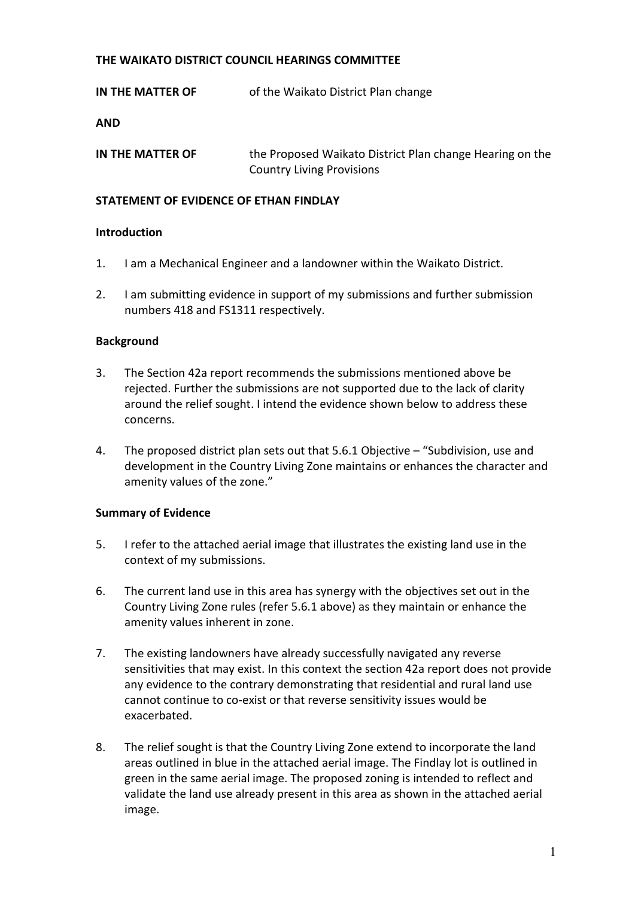#### **THE WAIKATO DISTRICT COUNCIL HEARINGS COMMITTEE**

**IN THE MATTER OF** of the Waikato District Plan change

**AND** 

**IN THE MATTER OF** the Proposed Waikato District Plan change Hearing on the Country Living Provisions

### **STATEMENT OF EVIDENCE OF ETHAN FINDLAY**

#### **Introduction**

- 1. I am a Mechanical Engineer and a landowner within the Waikato District.
- 2. I am submitting evidence in support of my submissions and further submission numbers 418 and FS1311 respectively.

#### **Background**

- 3. The Section 42a report recommends the submissions mentioned above be rejected. Further the submissions are not supported due to the lack of clarity around the relief sought. I intend the evidence shown below to address these concerns.
- 4. The proposed district plan sets out that 5.6.1 Objective "Subdivision, use and development in the Country Living Zone maintains or enhances the character and amenity values of the zone."

## **Summary of Evidence**

- 5. I refer to the attached aerial image that illustrates the existing land use in the context of my submissions.
- 6. The current land use in this area has synergy with the objectives set out in the Country Living Zone rules (refer 5.6.1 above) as they maintain or enhance the amenity values inherent in zone.
- 7. The existing landowners have already successfully navigated any reverse sensitivities that may exist. In this context the section 42a report does not provide any evidence to the contrary demonstrating that residential and rural land use cannot continue to co-exist or that reverse sensitivity issues would be exacerbated.
- 8. The relief sought is that the Country Living Zone extend to incorporate the land areas outlined in blue in the attached aerial image. The Findlay lot is outlined in green in the same aerial image. The proposed zoning is intended to reflect and validate the land use already present in this area as shown in the attached aerial image.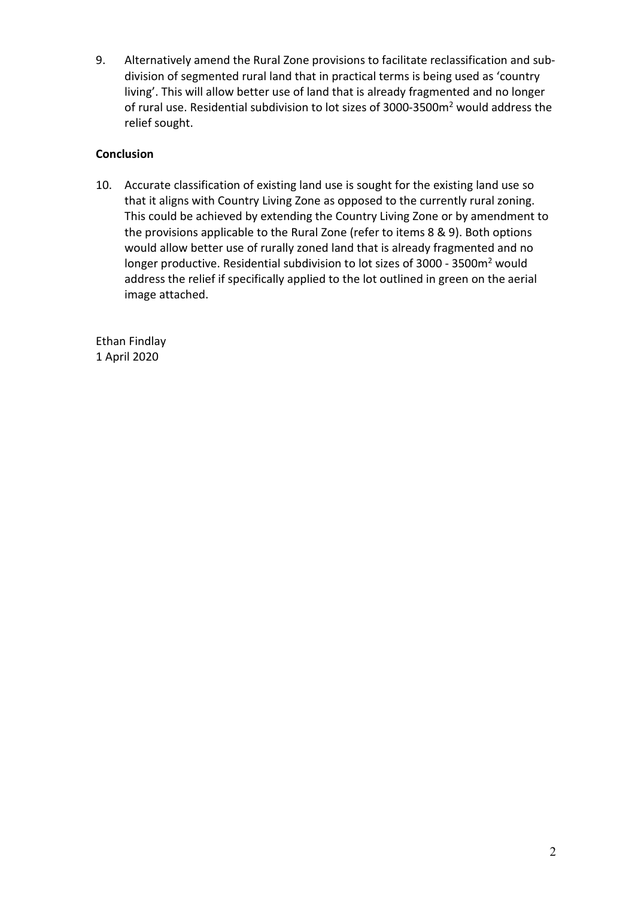9. Alternatively amend the Rural Zone provisions to facilitate reclassification and subdivision of segmented rural land that in practical terms is being used as 'country living'. This will allow better use of land that is already fragmented and no longer of rural use. Residential subdivision to lot sizes of 3000-3500m<sup>2</sup> would address the relief sought.

# **Conclusion**

10. Accurate classification of existing land use is sought for the existing land use so that it aligns with Country Living Zone as opposed to the currently rural zoning. This could be achieved by extending the Country Living Zone or by amendment to the provisions applicable to the Rural Zone (refer to items 8 & 9). Both options would allow better use of rurally zoned land that is already fragmented and no longer productive. Residential subdivision to lot sizes of 3000 - 3500 $m<sup>2</sup>$  would address the relief if specifically applied to the lot outlined in green on the aerial image attached.

Ethan Findlay 1 April 2020